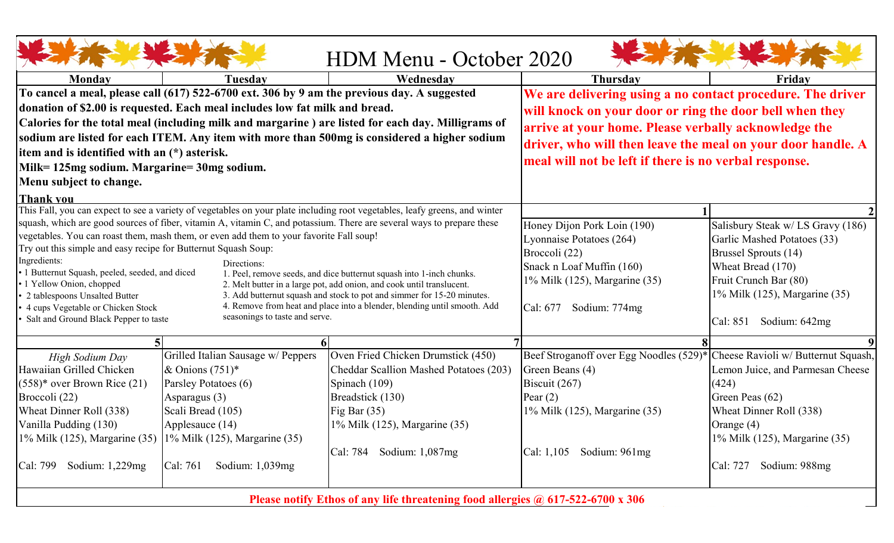| HDM Menu - October 2020                                                                                                              |                                                                                                            |                                                             |                                             |                                     |  |  |  |
|--------------------------------------------------------------------------------------------------------------------------------------|------------------------------------------------------------------------------------------------------------|-------------------------------------------------------------|---------------------------------------------|-------------------------------------|--|--|--|
| Monday                                                                                                                               | Tuesdav                                                                                                    | Wednesday                                                   | <b>Thursday</b>                             | Friday                              |  |  |  |
|                                                                                                                                      | To cancel a meal, please call (617) 522-6700 ext. 306 by 9 am the previous day. A suggested                | We are delivering using a no contact procedure. The driver  |                                             |                                     |  |  |  |
|                                                                                                                                      | donation of \$2.00 is requested. Each meal includes low fat milk and bread.                                | will knock on your door or ring the door bell when they     |                                             |                                     |  |  |  |
|                                                                                                                                      | Calories for the total meal (including milk and margarine) are listed for each day. Milligrams of          | arrive at your home. Please verbally acknowledge the        |                                             |                                     |  |  |  |
|                                                                                                                                      | sodium are listed for each ITEM. Any item with more than 500mg is considered a higher sodium               |                                                             |                                             |                                     |  |  |  |
| item and is identified with an (*) asterisk.                                                                                         |                                                                                                            | driver, who will then leave the meal on your door handle. A |                                             |                                     |  |  |  |
| Milk= 125mg sodium. Margarine= 30mg sodium.                                                                                          |                                                                                                            | meal will not be left if there is no verbal response.       |                                             |                                     |  |  |  |
| Menu subject to change.                                                                                                              |                                                                                                            |                                                             |                                             |                                     |  |  |  |
| <b>Thank you</b>                                                                                                                     |                                                                                                            |                                                             |                                             |                                     |  |  |  |
| This Fall, you can expect to see a variety of vegetables on your plate including root vegetables, leafy greens, and winter           |                                                                                                            |                                                             |                                             |                                     |  |  |  |
| squash, which are good sources of fiber, vitamin A, vitamin C, and potassium. There are several ways to prepare these                |                                                                                                            |                                                             | Honey Dijon Pork Loin (190)                 | Salisbury Steak w/ LS Gravy (186)   |  |  |  |
| vegetables. You can roast them, mash them, or even add them to your favorite Fall soup!                                              |                                                                                                            |                                                             | Lyonnaise Potatoes (264)                    | Garlic Mashed Potatoes (33)         |  |  |  |
| Try out this simple and easy recipe for Butternut Squash Soup:<br>Ingredients:                                                       |                                                                                                            |                                                             | Broccoli (22)                               | <b>Brussel Sprouts (14)</b>         |  |  |  |
| Directions:<br>1 Butternut Squash, peeled, seeded, and diced<br>1. Peel, remove seeds, and dice butternut squash into 1-inch chunks. |                                                                                                            |                                                             | Snack n Loaf Muffin (160)                   | Wheat Bread (170)                   |  |  |  |
| 1 Yellow Onion, chopped                                                                                                              | 2. Melt butter in a large pot, add onion, and cook until translucent.                                      | 1% Milk (125), Margarine (35)                               | Fruit Crunch Bar (80)                       |                                     |  |  |  |
| 2 tablespoons Unsalted Butter                                                                                                        | 3. Add butternut squash and stock to pot and simmer for 15-20 minutes.                                     |                                                             | 1% Milk (125), Margarine (35)               |                                     |  |  |  |
| 4 cups Vegetable or Chicken Stock                                                                                                    | 4. Remove from heat and place into a blender, blending until smooth. Add<br>seasonings to taste and serve. | Cal: 677<br>Sodium: 774mg                                   |                                             |                                     |  |  |  |
| Salt and Ground Black Pepper to taste                                                                                                |                                                                                                            |                                                             | Sodium: 642mg<br>Cal: 851                   |                                     |  |  |  |
|                                                                                                                                      |                                                                                                            |                                                             |                                             |                                     |  |  |  |
| High Sodium Day                                                                                                                      | Grilled Italian Sausage w/ Peppers                                                                         | Oven Fried Chicken Drumstick (450)                          | Beef Stroganoff over Egg Noodles (529)*     | Cheese Ravioli w/ Butternut Squash, |  |  |  |
| Hawaiian Grilled Chicken                                                                                                             | & Onions $(751)^*$                                                                                         | Cheddar Scallion Mashed Potatoes (203)                      | Green Beans (4)                             | Lemon Juice, and Parmesan Cheese    |  |  |  |
| $(558)^*$ over Brown Rice $(21)$                                                                                                     | Parsley Potatoes (6)                                                                                       | Spinach (109)                                               | Biscuit $(267)$                             | (424)                               |  |  |  |
| Broccoli (22)                                                                                                                        | Asparagus (3)                                                                                              | Breadstick (130)                                            | Pear $(2)$                                  | Green Peas (62)                     |  |  |  |
| Wheat Dinner Roll (338)                                                                                                              | Scali Bread (105)                                                                                          | Fig Bar $(35)$                                              | 1% Milk (125), Margarine (35)               | Wheat Dinner Roll (338)             |  |  |  |
| Vanilla Pudding (130)                                                                                                                | Applesauce (14)                                                                                            | 1% Milk (125), Margarine (35)                               |                                             | Orange (4)                          |  |  |  |
| 1% Milk (125), Margarine (35) 1% Milk (125), Margarine (35)                                                                          |                                                                                                            |                                                             |                                             | 1% Milk (125), Margarine (35)       |  |  |  |
|                                                                                                                                      |                                                                                                            | $\vert$ Cal: 784 Sodium: 1,087mg                            | $\text{Cal: } 1,105$ Sodium: $961\text{mg}$ |                                     |  |  |  |
| Sodium: $1,229mg$<br>Cal: 799                                                                                                        | Cal: 761<br>Sodium: $1,039mg$                                                                              |                                                             |                                             | Sodium: 988mg<br>Cal: 727           |  |  |  |
| Please notify Ethos of any life threatening food allergies @ 617-522-6700 x 306                                                      |                                                                                                            |                                                             |                                             |                                     |  |  |  |